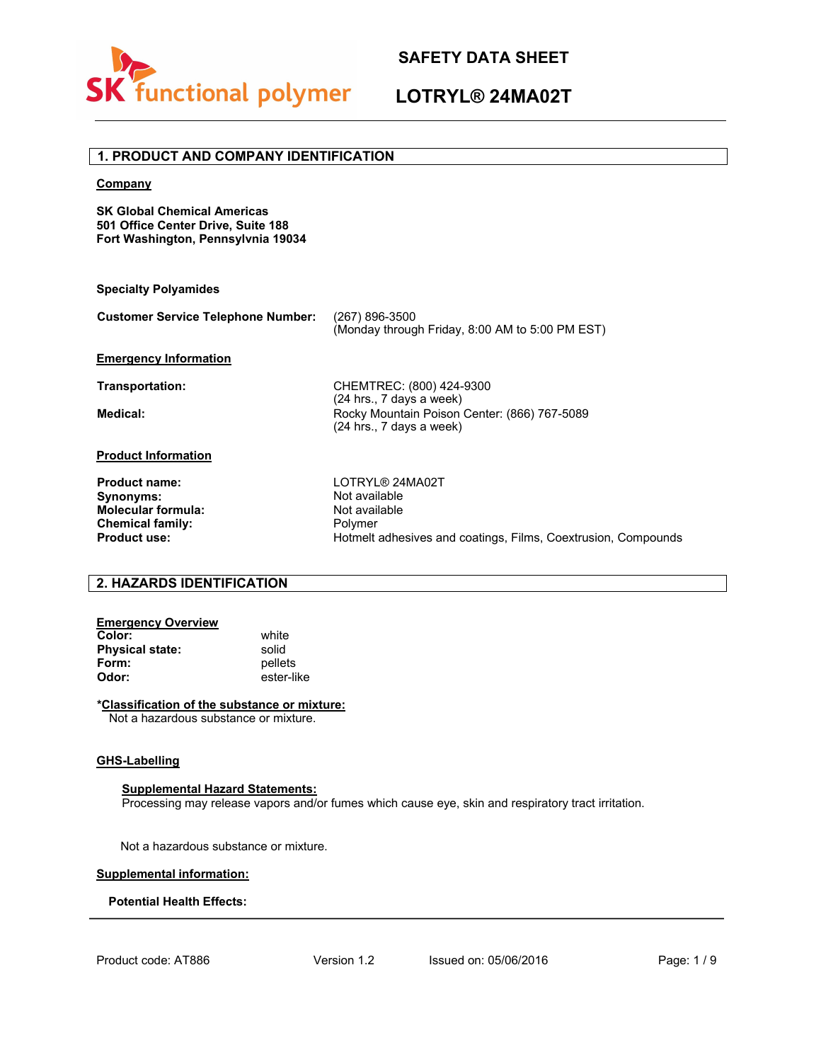

# **LOTRYL® 24MA02T**

### **1. PRODUCT AND COMPANY IDENTIFICATION**

### **Company**

**SK Global Chemical Americas 501 Office Center Drive, Suite 188 Fort Washington, Pennsylvnia 19034**

#### **Specialty Polyamides**

| <b>Customer Service Telephone Number:</b> | (267) 896-3500<br>(Monday through Friday, 8:00 AM to 5:00 PM EST) |
|-------------------------------------------|-------------------------------------------------------------------|
|-------------------------------------------|-------------------------------------------------------------------|

### **Emergency Information**

**Transportation:** CHEMTREC: (800) 424-9300 (24 hrs., 7 days a week) **Medical: Rocky Mountain Poison Center: (866) 767-5089** (24 hrs., 7 days a week)

### **Product Information**

| <b>Product name:</b>      |
|---------------------------|
| Synonyms:                 |
| <b>Molecular formula:</b> |
| <b>Chemical family:</b>   |
| <b>Product use:</b>       |

**Product name:** LOTRYL® 24MA02T **Not available Not available** Polymer Hotmelt adhesives and coatings, Films, Coextrusion, Compounds

### **2. HAZARDS IDENTIFICATION**

# **Emergency Overview**

**Color:** white<br> **Physical state:** solid **Physical state:**<br>Form: **Form:** pellets<br> **Odor:** ester-lil **Odor:** ester-like

### **\*Classification of the substance or mixture:**

Not a hazardous substance or mixture.

### **GHS-Labelling**

**Supplemental Hazard Statements:**

Processing may release vapors and/or fumes which cause eye, skin and respiratory tract irritation.

Not a hazardous substance or mixture.

#### **Supplemental information:**

### **Potential Health Effects:**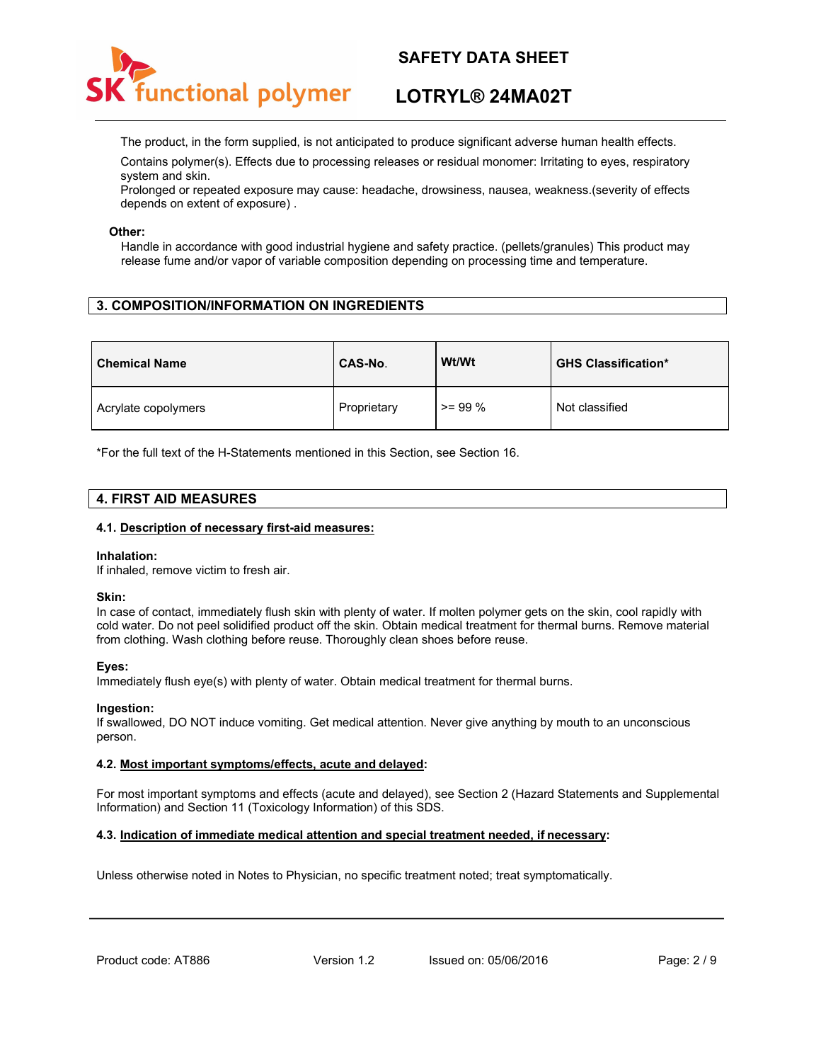

# **LOTRYL® 24MA02T**

The product, in the form supplied, is not anticipated to produce significant adverse human health effects.

Contains polymer(s). Effects due to processing releases or residual monomer: Irritating to eyes, respiratory system and skin.

Prolonged or repeated exposure may cause: headache, drowsiness, nausea, weakness.(severity of effects depends on extent of exposure) .

### **Other:**

Handle in accordance with good industrial hygiene and safety practice. (pellets/granules) This product may release fume and/or vapor of variable composition depending on processing time and temperature.

## **3. COMPOSITION/INFORMATION ON INGREDIENTS**

| <b>Chemical Name</b> | CAS-No.     | Wt/Wt     | <b>GHS Classification*</b> |
|----------------------|-------------|-----------|----------------------------|
| Acrylate copolymers  | Proprietary | $>= 99\%$ | Not classified             |

\*For the full text of the H-Statements mentioned in this Section, see Section 16.

### **4. FIRST AID MEASURES**

### **4.1. Description of necessary first-aid measures:**

#### **Inhalation:**

If inhaled, remove victim to fresh air.

### **Skin:**

In case of contact, immediately flush skin with plenty of water. If molten polymer gets on the skin, cool rapidly with cold water. Do not peel solidified product off the skin. Obtain medical treatment for thermal burns. Remove material from clothing. Wash clothing before reuse. Thoroughly clean shoes before reuse.

### **Eyes:**

Immediately flush eye(s) with plenty of water. Obtain medical treatment for thermal burns.

#### **Ingestion:**

If swallowed, DO NOT induce vomiting. Get medical attention. Never give anything by mouth to an unconscious person.

### **4.2. Most important symptoms/effects, acute and delayed:**

For most important symptoms and effects (acute and delayed), see Section 2 (Hazard Statements and Supplemental Information) and Section 11 (Toxicology Information) of this SDS.

### **4.3. Indication of immediate medical attention and special treatment needed, if necessary:**

Unless otherwise noted in Notes to Physician, no specific treatment noted; treat symptomatically.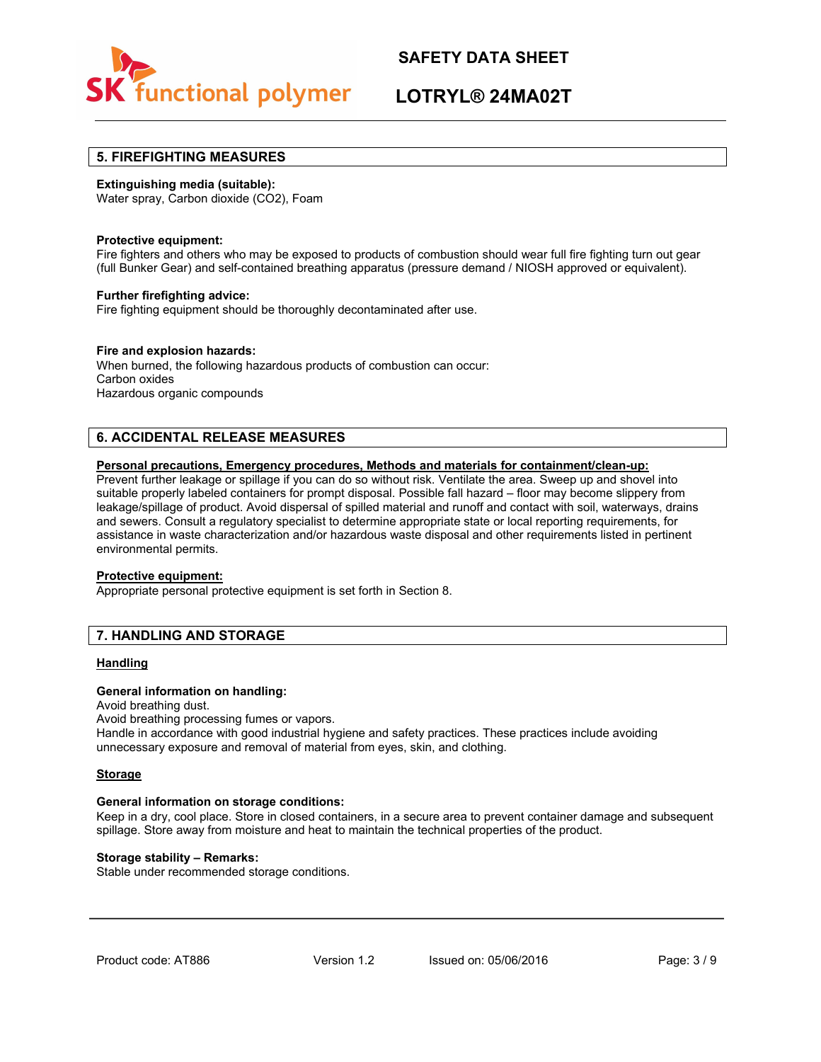

# **LOTRYL® 24MA02T**

### **5. FIREFIGHTING MEASURES**

### **Extinguishing media (suitable):**

Water spray, Carbon dioxide (CO2), Foam

### **Protective equipment:**

Fire fighters and others who may be exposed to products of combustion should wear full fire fighting turn out gear (full Bunker Gear) and self-contained breathing apparatus (pressure demand / NIOSH approved or equivalent).

### **Further firefighting advice:**

Fire fighting equipment should be thoroughly decontaminated after use.

### **Fire and explosion hazards:**

When burned, the following hazardous products of combustion can occur: Carbon oxides Hazardous organic compounds

## **6. ACCIDENTAL RELEASE MEASURES**

### **Personal precautions, Emergency procedures, Methods and materials for containment/clean-up:**

Prevent further leakage or spillage if you can do so without risk. Ventilate the area. Sweep up and shovel into suitable properly labeled containers for prompt disposal. Possible fall hazard – floor may become slippery from leakage/spillage of product. Avoid dispersal of spilled material and runoff and contact with soil, waterways, drains and sewers. Consult a regulatory specialist to determine appropriate state or local reporting requirements, for assistance in waste characterization and/or hazardous waste disposal and other requirements listed in pertinent environmental permits.

#### **Protective equipment:**

Appropriate personal protective equipment is set forth in Section 8.

### **7. HANDLING AND STORAGE**

### **Handling**

### **General information on handling:**

Avoid breathing dust.

Avoid breathing processing fumes or vapors. Handle in accordance with good industrial hygiene and safety practices. These practices include avoiding unnecessary exposure and removal of material from eyes, skin, and clothing.

#### **Storage**

#### **General information on storage conditions:**

Keep in a dry, cool place. Store in closed containers, in a secure area to prevent container damage and subsequent spillage. Store away from moisture and heat to maintain the technical properties of the product.

### **Storage stability – Remarks:**

Stable under recommended storage conditions.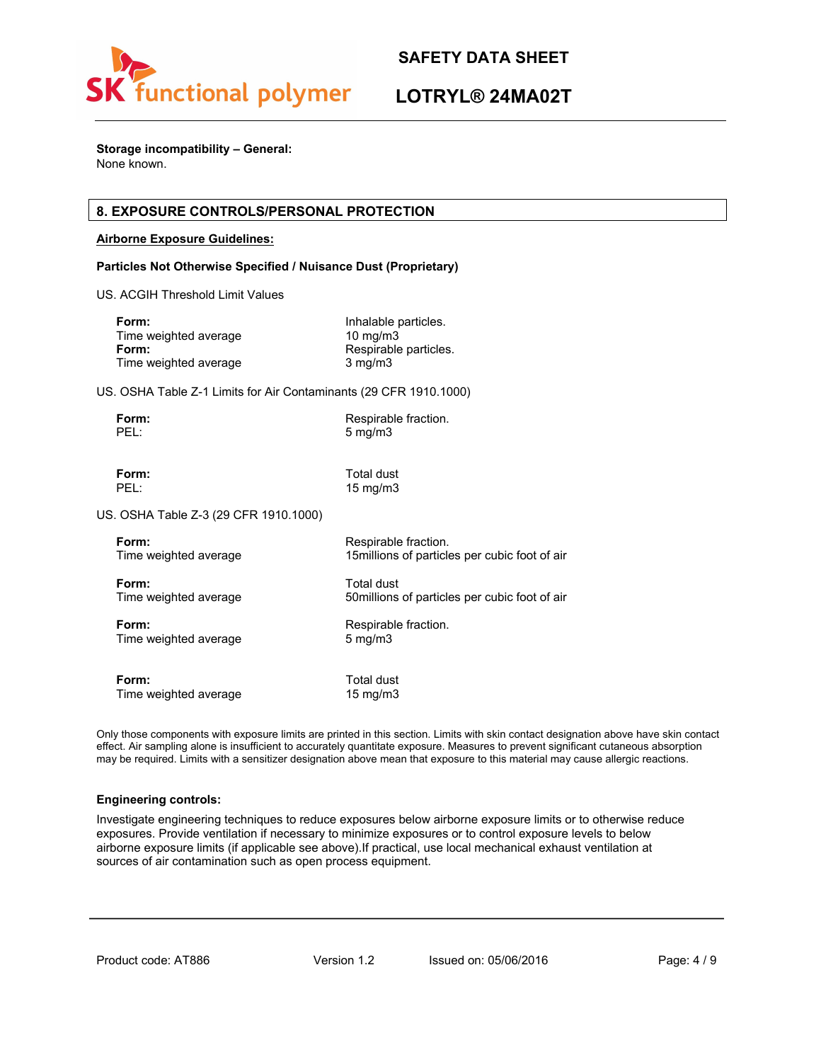

# **LOTRYL® 24MA02T**

**Storage incompatibility – General:** None known.

### **8. EXPOSURE CONTROLS/PERSONAL PROTECTION**

### **Airborne Exposure Guidelines:**

### **Particles Not Otherwise Specified / Nuisance Dust (Proprietary)**

US. ACGIH Threshold Limit Values

| Form:                 | Inhalable particles.  |
|-----------------------|-----------------------|
| Time weighted average | $10 \text{ mg/m}$     |
| Form:                 | Respirable particles. |
| Time weighted average | $3 \text{ mg/m}$      |

US. OSHA Table Z-1 Limits for Air Contaminants (29 CFR 1910.1000)

| Form: | Respirable fraction. |
|-------|----------------------|
| PEL:  | $5 \text{ mg/m}$     |

**Form:** Total dust<br>PEL: 15 mg/m3 15 mg/m3

US. OSHA Table Z-3 (29 CFR 1910.1000)

| Form:                 | Respirable fraction.                           |
|-----------------------|------------------------------------------------|
| Time weighted average | 15 millions of particles per cubic foot of air |
| Form:                 | Total dust                                     |
| Time weighted average | 50 millions of particles per cubic foot of air |
| Form:                 | Respirable fraction.                           |
| Time weighted average | $5 \text{ mg/m}$                               |
| Form:                 | Total dust                                     |
| Time weighted average | $15 \text{ mg/m}$                              |

Only those components with exposure limits are printed in this section. Limits with skin contact designation above have skin contact effect. Air sampling alone is insufficient to accurately quantitate exposure. Measures to prevent significant cutaneous absorption may be required. Limits with a sensitizer designation above mean that exposure to this material may cause allergic reactions.

### **Engineering controls:**

Investigate engineering techniques to reduce exposures below airborne exposure limits or to otherwise reduce exposures. Provide ventilation if necessary to minimize exposures or to control exposure levels to below airborne exposure limits (if applicable see above).If practical, use local mechanical exhaust ventilation at sources of air contamination such as open process equipment.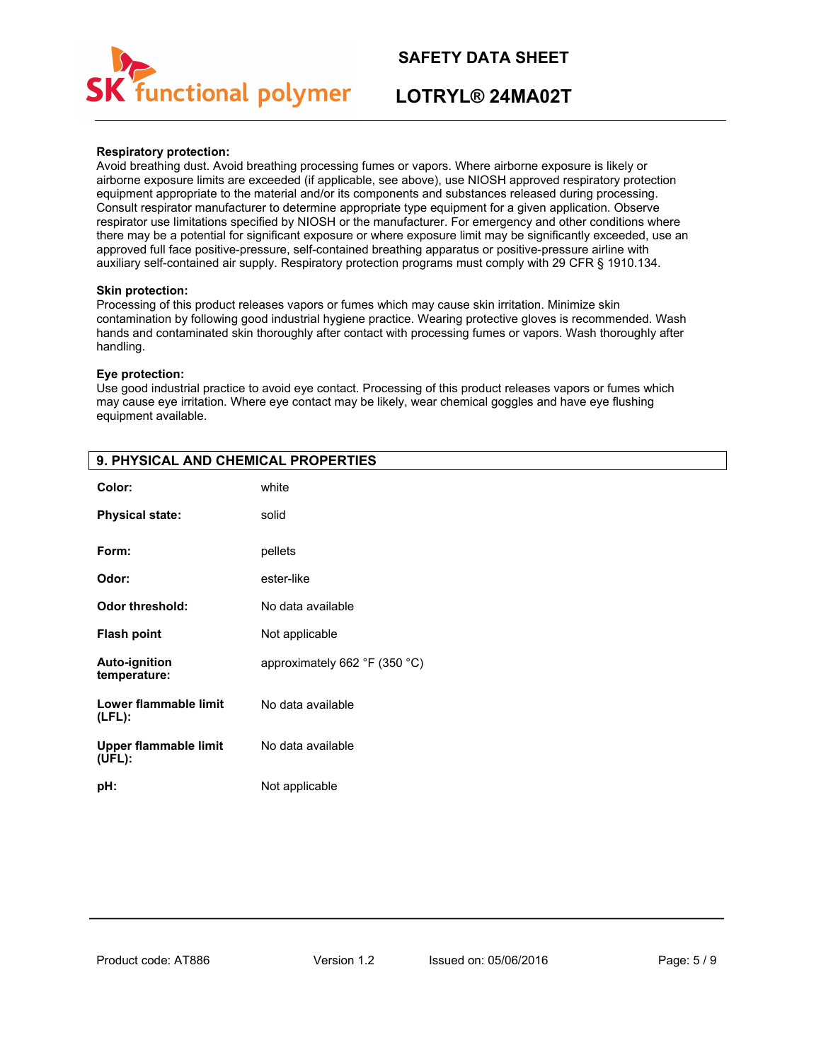

# **LOTRYL® 24MA02T**

### **Respiratory protection:**

Avoid breathing dust. Avoid breathing processing fumes or vapors. Where airborne exposure is likely or airborne exposure limits are exceeded (if applicable, see above), use NIOSH approved respiratory protection equipment appropriate to the material and/or its components and substances released during processing. Consult respirator manufacturer to determine appropriate type equipment for a given application. Observe respirator use limitations specified by NIOSH or the manufacturer. For emergency and other conditions where there may be a potential for significant exposure or where exposure limit may be significantly exceeded, use an approved full face positive-pressure, self-contained breathing apparatus or positive-pressure airline with auxiliary self-contained air supply. Respiratory protection programs must comply with 29 CFR § 1910.134.

### **Skin protection:**

Processing of this product releases vapors or fumes which may cause skin irritation. Minimize skin contamination by following good industrial hygiene practice. Wearing protective gloves is recommended. Wash hands and contaminated skin thoroughly after contact with processing fumes or vapors. Wash thoroughly after handling.

### **Eye protection:**

Use good industrial practice to avoid eye contact. Processing of this product releases vapors or fumes which may cause eye irritation. Where eye contact may be likely, wear chemical goggles and have eye flushing equipment available.

| Color:                               | white                         |
|--------------------------------------|-------------------------------|
| <b>Physical state:</b>               | solid                         |
| Form:                                | pellets                       |
| Odor:                                | ester-like                    |
| <b>Odor threshold:</b>               | No data available             |
| <b>Flash point</b>                   | Not applicable                |
| <b>Auto-ignition</b><br>temperature: | approximately 662 °F (350 °C) |
| Lower flammable limit<br>$(LFL)$ :   | No data available             |
| Upper flammable limit<br>(UEL):      | No data available             |
| pH:                                  | Not applicable                |

# **9. PHYSICAL AND CHEMICAL PROPERTIES**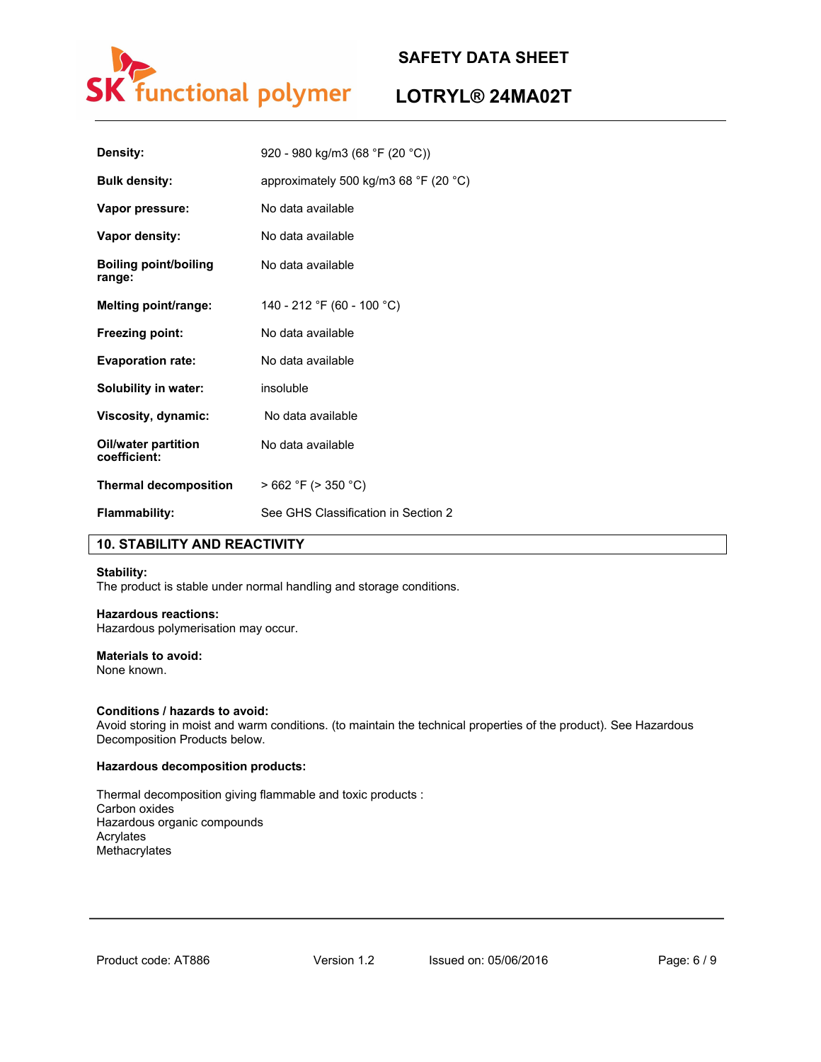

# **LOTRYL® 24MA02T**

| Density:                            | 920 - 980 kg/m3 (68 °F (20 °C))                         |
|-------------------------------------|---------------------------------------------------------|
| <b>Bulk density:</b>                | approximately 500 kg/m3 68 $\degree$ F (20 $\degree$ C) |
| Vapor pressure:                     | No data available                                       |
| Vapor density:                      | No data available                                       |
| Boiling point/boiling<br>range:     | No data available                                       |
| Melting point/range:                | 140 - 212 °F (60 - 100 °C)                              |
| Freezing point:                     | No data available                                       |
| <b>Evaporation rate:</b>            | No data available                                       |
| Solubility in water:                | insoluble                                               |
| Viscosity, dynamic:                 | No data available                                       |
| Oil/water partition<br>coefficient: | No data available                                       |
| <b>Thermal decomposition</b>        | $>662$ °F ( $>350$ °C)                                  |
| <b>Flammability:</b>                | See GHS Classification in Section 2                     |

# **10. STABILITY AND REACTIVITY**

### **Stability:**

The product is stable under normal handling and storage conditions.

#### **Hazardous reactions:**

Hazardous polymerisation may occur.

### **Materials to avoid:**

None known.

### **Conditions / hazards to avoid:**

Avoid storing in moist and warm conditions. (to maintain the technical properties of the product). See Hazardous Decomposition Products below.

### **Hazardous decomposition products:**

Thermal decomposition giving flammable and toxic products : Carbon oxides Hazardous organic compounds Acrylates Methacrylates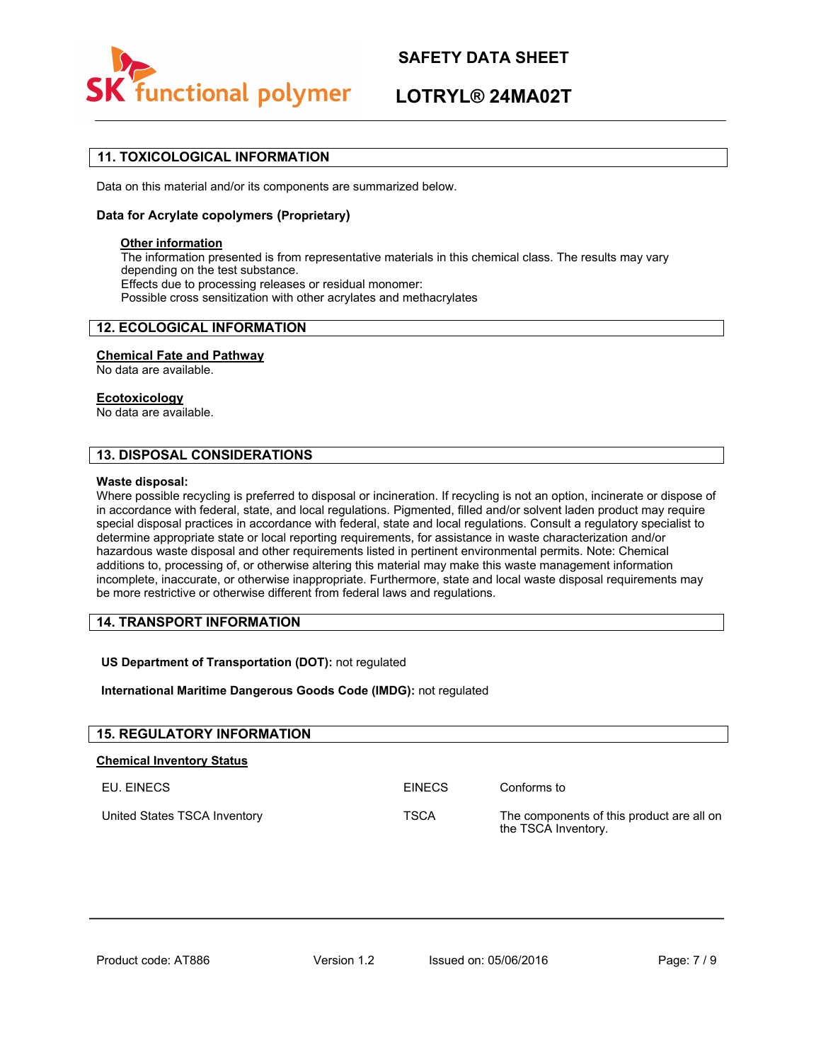

# **LOTRYL® 24MA02T**

# **11. TOXICOLOGICAL INFORMATION**

Data on this material and/or its components are summarized below.

### **Data for Acrylate copolymers (Proprietary)**

### **Other information**

The information presented is from representative materials in this chemical class. The results may vary depending on the test substance. Effects due to processing releases or residual monomer: Possible cross sensitization with other acrylates and methacrylates

### **12. ECOLOGICAL INFORMATION**

#### **Chemical Fate and Pathway**

No data are available.

### **Ecotoxicology**

No data are available.

### **13. DISPOSAL CONSIDERATIONS**

#### **Waste disposal:**

Where possible recycling is preferred to disposal or incineration. If recycling is not an option, incinerate or dispose of in accordance with federal, state, and local regulations. Pigmented, filled and/or solvent laden product may require special disposal practices in accordance with federal, state and local regulations. Consult a regulatory specialist to determine appropriate state or local reporting requirements, for assistance in waste characterization and/or hazardous waste disposal and other requirements listed in pertinent environmental permits. Note: Chemical additions to, processing of, or otherwise altering this material may make this waste management information incomplete, inaccurate, or otherwise inappropriate. Furthermore, state and local waste disposal requirements may be more restrictive or otherwise different from federal laws and regulations.

### **14. TRANSPORT INFORMATION**

**US Department of Transportation (DOT):** not regulated

### **International Maritime Dangerous Goods Code (IMDG):** not regulated

| <b>15. REGULATORY INFORMATION</b> |               |                                                                  |
|-----------------------------------|---------------|------------------------------------------------------------------|
| <b>Chemical Inventory Status</b>  |               |                                                                  |
| EU. EINECS                        | <b>FINFCS</b> | Conforms to                                                      |
| United States TSCA Inventory      | <b>TSCA</b>   | The components of this product are all on<br>the TSCA Inventory. |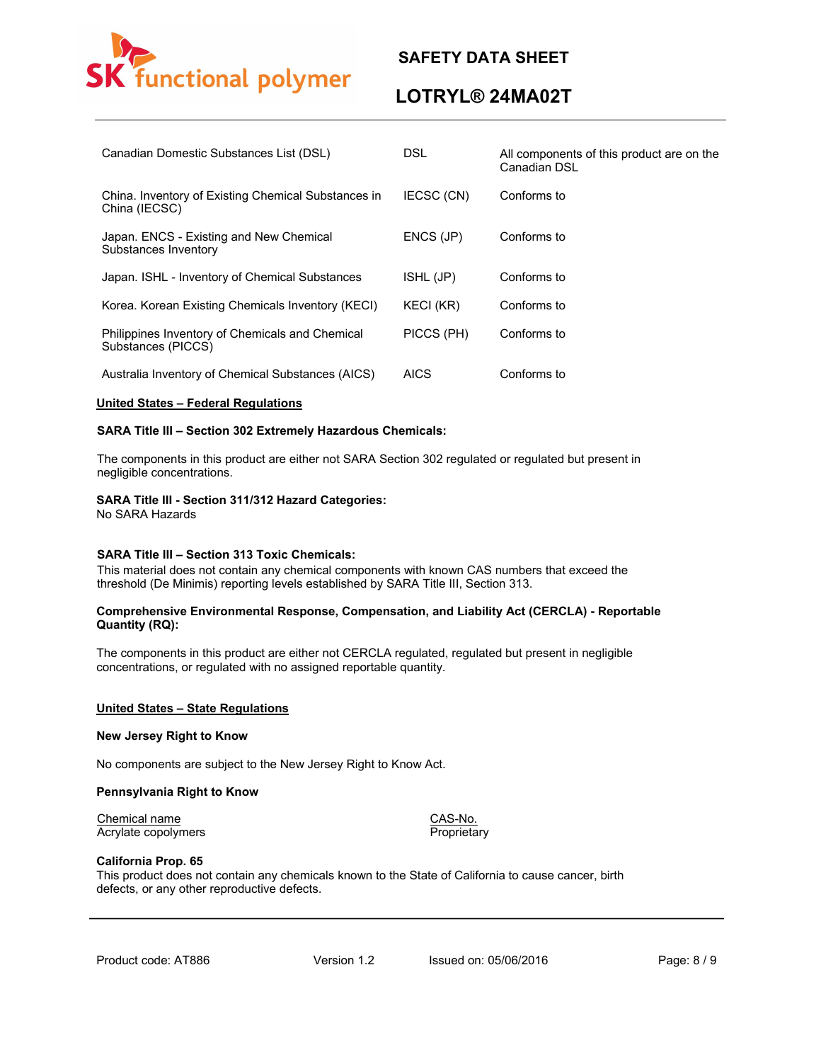

# **LOTRYL® 24MA02T**

| Canadian Domestic Substances List (DSL)                               | DSL.        | All components of this product are on the<br>Canadian DSL |
|-----------------------------------------------------------------------|-------------|-----------------------------------------------------------|
| China. Inventory of Existing Chemical Substances in<br>China (IECSC)  | IECSC (CN)  | Conforms to                                               |
| Japan. ENCS - Existing and New Chemical<br>Substances Inventory       | ENCS (JP)   | Conforms to                                               |
| Japan. ISHL - Inventory of Chemical Substances                        | ISHL (JP)   | Conforms to                                               |
| Korea. Korean Existing Chemicals Inventory (KECI)                     | KECI (KR)   | Conforms to                                               |
| Philippines Inventory of Chemicals and Chemical<br>Substances (PICCS) | PICCS (PH)  | Conforms to                                               |
| Australia Inventory of Chemical Substances (AICS)                     | <b>AICS</b> | Conforms to                                               |

### **United States – Federal Regulations**

### **SARA Title III – Section 302 Extremely Hazardous Chemicals:**

The components in this product are either not SARA Section 302 regulated or regulated but present in negligible concentrations.

#### **SARA Title III - Section 311/312 Hazard Categories:**

No SARA Hazards

#### **SARA Title III – Section 313 Toxic Chemicals:**

This material does not contain any chemical components with known CAS numbers that exceed the threshold (De Minimis) reporting levels established by SARA Title III, Section 313.

### **Comprehensive Environmental Response, Compensation, and Liability Act (CERCLA) - Reportable Quantity (RQ):**

The components in this product are either not CERCLA regulated, regulated but present in negligible concentrations, or regulated with no assigned reportable quantity.

#### **United States – State Regulations**

#### **New Jersey Right to Know**

No components are subject to the New Jersey Right to Know Act.

#### **Pennsylvania Right to Know**

Chemical name CAS-No. Acrylate copolymers

### **California Prop. 65**

This product does not contain any chemicals known to the State of California to cause cancer, birth defects, or any other reproductive defects.